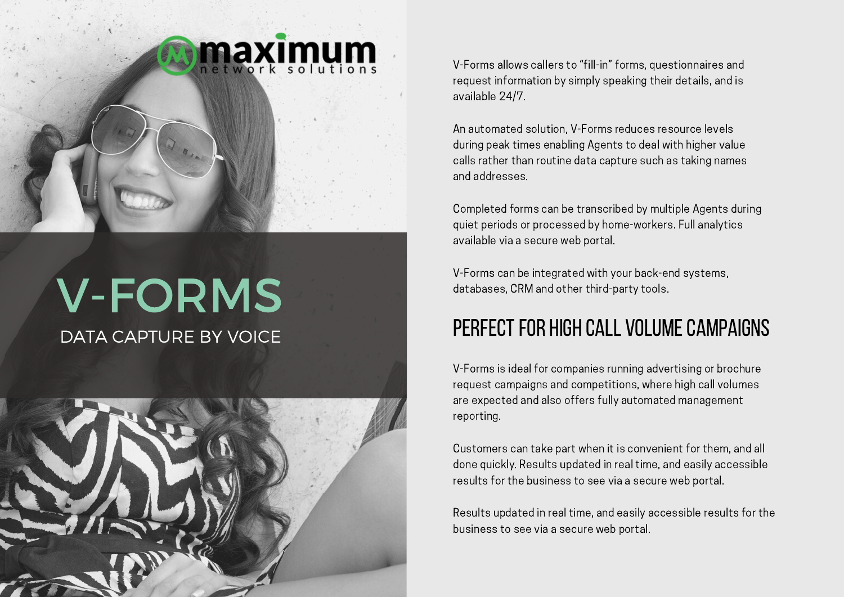

# V-FORMS

DATA CAPTURE BY VOICE



V-Forms allows callers to "fill-in" forms, questionnaires and request information by simply speaking their details, and is available 24/7.

An automated solution, V-Forms reduces resource levels during peak times enabling Agents to deal with higher value calls rather than routine data capture such as taking names and addresses.

Completed forms can be transcribed by multiple Agents during quiet periods or processed by home-workers. Full analytics available via a secure web portal.

V-Forms can be integrated with your back-end systems, databases, CRM and other third-party tools.

### PERFECT FOR HIGH CALL VOLUME CAMPAIGNS

V-Forms is ideal for companies running advertising or brochure request campaigns and competitions, where high call volumes are expected and also offers fully automated management reporting.

Customers can take part when it is convenient for them, and all done quickly. Results updated in real time, and easily accessible results for the business to see via a secure web portal.

Results updated in real time, and easily accessible results for the business to see via a secure web portal.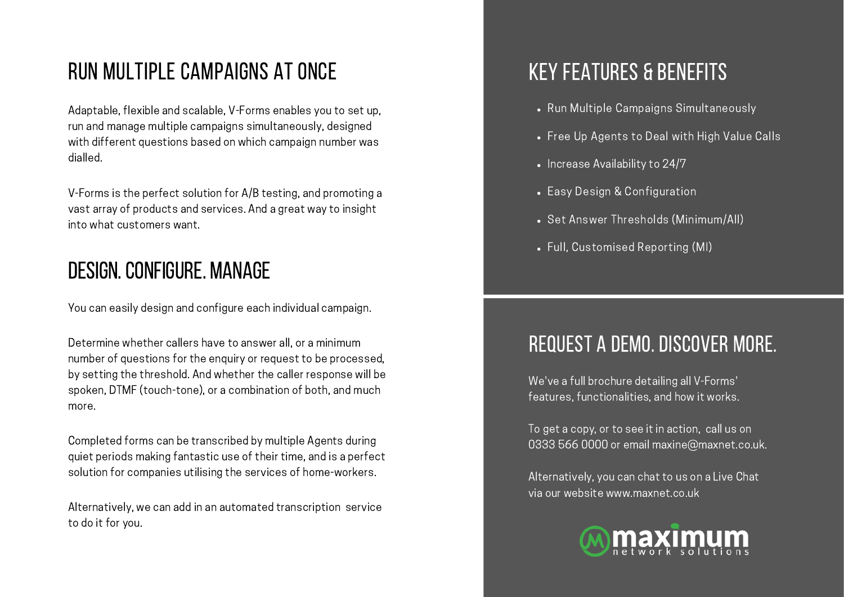# RUN MULTIPLE CAMPAIGNS AT ONCE THE RESERVE RUN MULTIPLE CAMPAIGNS AT ONCE

Adaptable, flexible and scalable, V-Forms enables you to set up, run and manage multiple campaigns simultaneously, designed with different questions based on which campaign number was dialled.

V-Forms is the perfect solution for A/B testing, and promoting a vast array of products and services. And a great way to insight into what customers want.

### DESIGN.CONFIGURE. MANAGE

You can easily design and configure each individual campaign.

Determine whether callers have to answer all, or a minimum number of questions for the enquiry or request to be processed, by setting the threshold. And whether the caller response will be spoken, DTMF (touch-tone), or a combination of both, and much more.

Completed forms can be transcribed by multiple Agents during quiet periods making fantastic use of their time, and is a perfect solution for companies utilising the services of home-workers.

Alternatively, we can add in an automated transcription service to do it for you.

- Run Multiple Campaigns Simultaneously
- Free Up Agents to Deal with High Value Calls
- Increase Availability to 24/7
- Easy Design & Configuration
- Set Answer Thresholds (Minimum/All)
- Full, Customised Reporting (MI)

## REQUEST A DEMO. DISCOVER MORE.

We've a full brochure detailing all V-Forms' features, functionalities, and how it works.

To get a copy, or to see it in action, call us on 0333 566 0000 or email maxine@maxnet.co.uk.

Alternatively, you can chat to us on a Live Chat via our website www.maxnet.co.uk